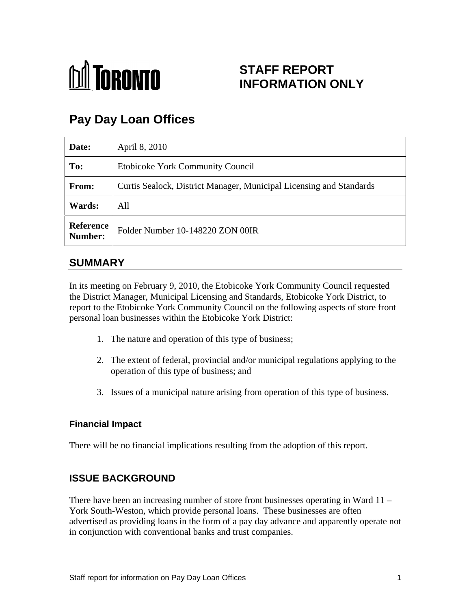

## **STAFF REPORT INFORMATION ONLY**

# **Pay Day Loan Offices**

| Date:         | April 8, 2010                                                       |
|---------------|---------------------------------------------------------------------|
| To:           | Etobicoke York Community Council                                    |
| From:         | Curtis Sealock, District Manager, Municipal Licensing and Standards |
| <b>Wards:</b> | All                                                                 |
|               | Reference<br>Number: Folder Number 10-148220 ZON 00IR               |

### **SUMMARY**

In its meeting on February 9, 2010, the Etobicoke York Community Council requested the District Manager, Municipal Licensing and Standards, Etobicoke York District, to report to the Etobicoke York Community Council on the following aspects of store front personal loan businesses within the Etobicoke York District:

- 1. The nature and operation of this type of business;
- 2. The extent of federal, provincial and/or municipal regulations applying to the operation of this type of business; and
- 3. Issues of a municipal nature arising from operation of this type of business.

#### **Financial Impact**

There will be no financial implications resulting from the adoption of this report.

#### **ISSUE BACKGROUND**

There have been an increasing number of store front businesses operating in Ward 11 – York South-Weston, which provide personal loans. These businesses are often advertised as providing loans in the form of a pay day advance and apparently operate not in conjunction with conventional banks and trust companies.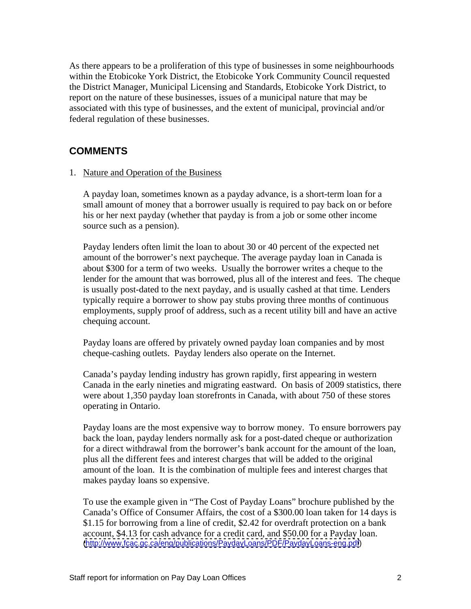As there appears to be a proliferation of this type of businesses in some neighbourhoods within the Etobicoke York District, the Etobicoke York Community Council requested the District Manager, Municipal Licensing and Standards, Etobicoke York District, to report on the nature of these businesses, issues of a municipal nature that may be associated with this type of businesses, and the extent of municipal, provincial and/or federal regulation of these businesses.

#### **COMMENTS**

1. Nature and Operation of the Business

A payday loan, sometimes known as a payday advance, is a short-term loan for a small amount of money that a borrower usually is required to pay back on or before his or her next payday (whether that payday is from a job or some other income source such as a pension).<br>Payday lenders often limit the loan to about 30 or 40 percent of the expected net

amount of the borrower's next paycheque. The average payday loan in Canada is about \$300 for a term of two weeks. Usually the borrower writes a cheque to the lender for the amount that was borrowed, plus all of the interest and fees. The cheque is usually post-dated to the next payday, and is usually cashed at that time. Lenders typically require a borrower to show pay stubs proving three months of continuous employments, supply proof of address, such as a recent utility bill and have an active chequing account.

Payday loans are offered by privately owned payday loan companies and by most cheque-cashing outlets. Payday lenders also operate on the Internet.

Canada's payday lending industry has grown rapidly, first appearing in western Canada in the early nineties and migrating eastward. On basis of 2009 statistics, there were about 1,350 payday loan storefronts in Canada, with about 750 of these stores operating in Ontario.

Payday loans are the most expensive way to borrow money. To ensure borrowers pay back the loan, payday lenders normally ask for a post-dated cheque or authorization for a direct withdrawal from the borrower's bank account for the amount of the loan, plus all the different fees and interest charges that will be added to the original amount of the loan. It is the combination of multiple fees and interest charges that makes payday loans so expensive.

To use the example given in "The Cost of Payday Loans" brochure published by the Canada's Office of Consumer Affairs, the cost of a \$300.00 loan taken for 14 days is \$1.15 for borrowing from a line of credit, \$2.42 for overdraft protection on a bank account, \$4.13 for cash advance for a credit card, and \$50.00 for a Payday loan. [\(http://www.fcac.gc.ca/eng/publications/PaydayLoans/PDF/PaydayLoans-eng.pdf](http://www.fcac.gc.ca/eng/publications/PaydayLoans/PDF/PaydayLoans-eng.pdf))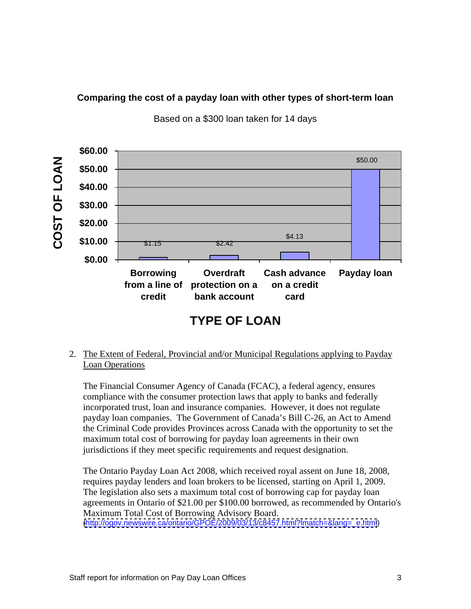#### **Comparing the cost of a payday loan with other types of short-term loan**



Based on a \$300 loan taken for 14 days

2. The Extent of Federal, Provincial and/or Municipal Regulations applying to Payday **Loan Operations** 

The Financial Consumer Agency of Canada (FCAC), a federal agency, ensures compliance with the consumer protection laws that apply to banks and federally incorporated trust, loan and insurance companies. However, it does not regulate payday loan companies. The Government of Canada's Bill C-26, an Act to Amend the Criminal Code provides Provinces across Canada with the opportunity to set the maximum total cost of borrowing for payday loan agreements in their own jurisdictions if they meet specific requirements and request designation.

The Ontario Payday Loan Act 2008, which received royal assent on June 18, 2008, requires payday lenders and loan brokers to be licensed, starting on April 1, 2009. The legislation also sets a maximum total cost of borrowing cap for payday loan agreements in Ontario of \$21.00 per \$100.00 borrowed, as recommended by Ontario's Maximum Total Cost of Borrowing Advisory Board. [\(http://ogov.newswire.ca/ontario/GPOE/2009/03/13/c8457.html?lmatch=&lang=\\_e.html](http://ogov.newswire.ca/ontario/GPOE/2009/03/13/c8457.html?lmatch=&lang=_e.html))